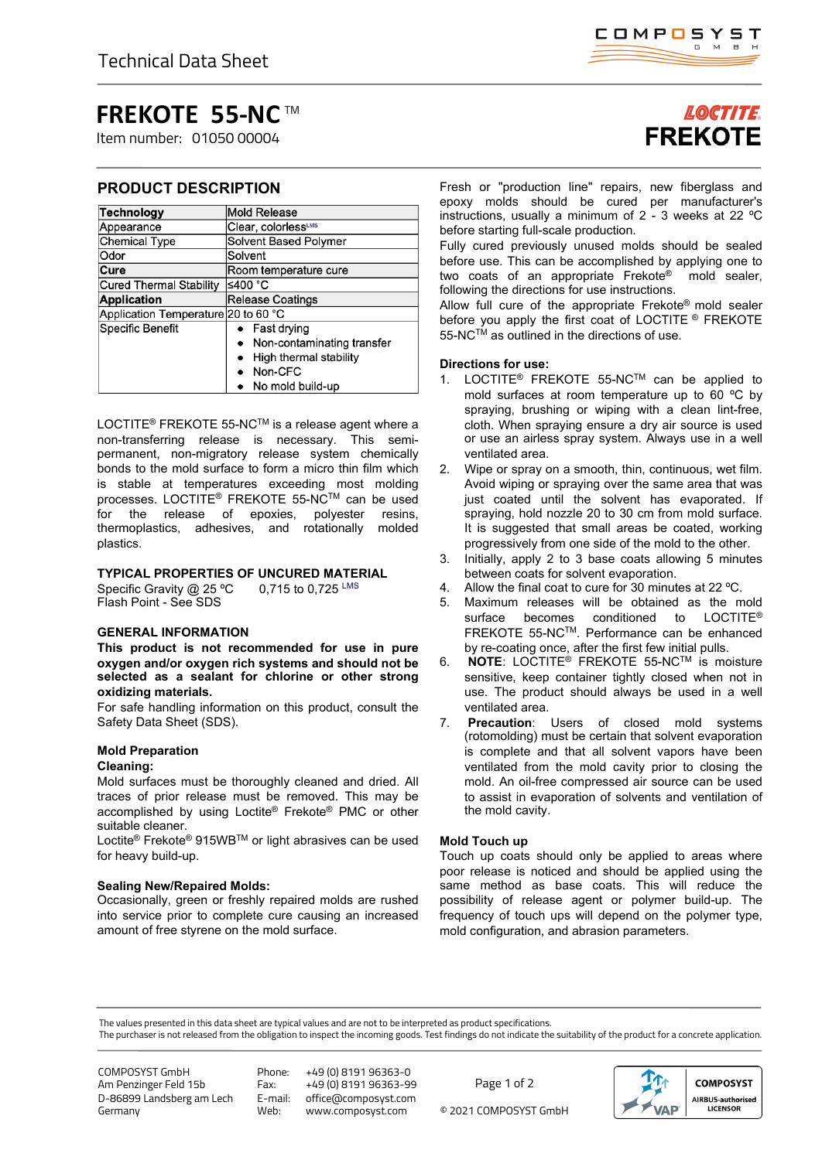# **FREKOTE 55-NC** TM

Item number: 01050 00004

# **PRODUCT DESCRIPTION**

| <b>Technology</b>                   | <b>Mold Release</b>        |
|-------------------------------------|----------------------------|
| Appearance                          | Clear, colorlessLMS        |
| <b>Chemical Type</b>                | Solvent Based Polymer      |
| Odor                                | Solvent                    |
| Cure                                | Room temperature cure      |
| <b>Cured Thermal Stability</b>      | ≤400 °C                    |
| <b>Application</b>                  | <b>Release Coatings</b>    |
| Application Temperature 20 to 60 °C |                            |
| Specific Benefit                    | $\bullet$ Fast drying      |
|                                     | Non-contaminating transfer |
|                                     | High thermal stability     |
|                                     | Non-CFC                    |
|                                     | No mold build-up           |

LOCTITE<sup>®</sup> FREKOTE 55-NC<sup>™</sup> is a release agent where a non-transferring release is necessary. This semipermanent, non-migratory release system chemically bonds to the mold surface to form a micro thin film which is stable at temperatures exceeding most molding processes. LOCTITE® FREKOTE 55-NCTM can be used for the release of epoxies, polyester resins, thermoplastics, adhesives, and rotationally molded plastics.

# **TYPICAL PROPERTIES OF UNCURED MATERIAL**

Specific Gravity @ 25 °C 0.715 to 0.725 LMS Flash Point - See SDS

# **GENERAL INFORMATION**

**This product is not recommended for use in pure oxygen and/or oxygen rich systems and should not be selected as a sealant for chlorine or other strong oxidizing materials.**

For safe handling information on this product, consult the Safety Data Sheet (SDS).

# **Mold Preparation**

# **Cleaning:**

Mold surfaces must be thoroughly cleaned and dried. All traces of prior release must be removed. This may be accomplished by using Loctite® Frekote® PMC or other suitable cleaner.

Loctite® Frekote® 915WBTM or light abrasives can be used for heavy build-up.

## **Sealing New/Repaired Molds:**

Occasionally, green or freshly repaired molds are rushed into service prior to complete cure causing an increased amount of free styrene on the mold surface.

# **LOCTITE FREKOTE**

Fresh or "production line" repairs, new fiberglass and epoxy molds should be cured per manufacturer's instructions, usually a minimum of 2 - 3 weeks at 22 ºC before starting full-scale production.

Fully cured previously unused molds should be sealed before use. This can be accomplished by applying one to two coats of an appropriate Frekote® mold sealer, following the directions for use instructions.

Allow full cure of the appropriate Frekote® mold sealer before you apply the first coat of LOCTITE ® FREKOTE 55-NC™ as outlined in the directions of use.

# **Directions for use:**

- 1. LOCTITE® FREKOTE 55-NCTM can be applied to mold surfaces at room temperature up to 60 ºC by spraying, brushing or wiping with a clean lint-free, cloth. When spraying ensure a dry air source is used or use an airless spray system. Always use in a well ventilated area.
- 2. Wipe or spray on a smooth, thin, continuous, wet film. Avoid wiping or spraying over the same area that was just coated until the solvent has evaporated. If spraying, hold nozzle 20 to 30 cm from mold surface. It is suggested that small areas be coated, working progressively from one side of the mold to the other.
- 3. Initially, apply 2 to 3 base coats allowing 5 minutes between coats for solvent evaporation.
- 4. Allow the final coat to cure for 30 minutes at 22 ºC.
- 5. Maximum releases will be obtained as the mold surface becomes conditioned to LOCTITE<sup>®</sup> FREKOTE 55-NCTM. Performance can be enhanced by re-coating once, after the first few initial pulls.
- 6. **NOTE**: LOCTITE® FREKOTE 55-NCTM is moisture sensitive, keep container tightly closed when not in use. The product should always be used in a well ventilated area.
- 7. **Precaution**: Users of closed mold systems (rotomolding) must be certain that solvent evaporation is complete and that all solvent vapors have been ventilated from the mold cavity prior to closing the mold. An oil-free compressed air source can be used to assist in evaporation of solvents and ventilation of the mold cavity.

# **Mold Touch up**

Touch up coats should only be applied to areas where poor release is noticed and should be applied using the same method as base coats. This will reduce the possibility of release agent or polymer build-up. The frequency of touch ups will depend on the polymer type, mold configuration, and abrasion parameters.

The values presented in this data sheet are typical values and are not to be interpreted as product specifications.

The purchaser is not released from the obligation to inspect the incoming goods. Test findings do not indicate the suitability of the product for a concrete application.

COMPOSYST GmbH Am Penzinger Feld 15b D-86899 Landsberg am Lech Germany

Phone: +49 (0) 8191 96363-0 Fax: +49 (0) 8191 96363-99<br>E-mail: office@composyst.com E-mail: office@composyst.com

© 2021 COMPOSYST GmbH Page 1 of 2